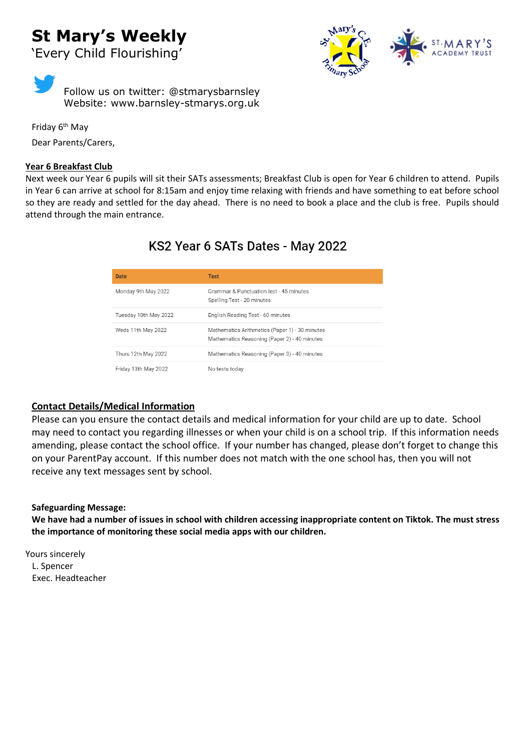# **St Mary's Weekly** 'Every Child Flourishing'

Follow us on twitter: @stmarysbarnsley Website: www.barnsley-stmarys.org.uk

Friday 6<sup>th</sup> May Dear Parents/Carers,

### **Year 6 Breakfast Club**

Next week our Year 6 pupils will sit their SATs assessments; Breakfast Club is open for Year 6 children to attend. Pupils in Year 6 can arrive at school for 8:15am and enjoy time relaxing with friends and have something to eat before school so they are ready and settled for the day ahead. There is no need to book a place and the club is free. Pupils should attend through the main entrance.

## KS2 Year 6 SATs Dates - May 2022

| Date                  | <b>Test</b>                                                                                    |
|-----------------------|------------------------------------------------------------------------------------------------|
| Monday 9th May 2022   | Grammar & Punctuation test - 45 minutes<br>Spelling Test - 20 minutes                          |
| Tuesday 10th May 2022 | English Reading Test - 60 minutes                                                              |
| Weds 11th May 2022    | Mathematics Arithmetics (Paper 1) - 30 minutes<br>Mathematics Reasoning (Paper 2) - 40 minutes |
| Thurs 12th May 2022   | Mathematics Reasoning (Paper 3) - 40 minutes                                                   |
| Friday 13th May 2022  | No tests today                                                                                 |

### **Contact Details/Medical Information**

Please can you ensure the contact details and medical information for your child are up to date. School may need to contact you regarding illnesses or when your child is on a school trip. If this information needs amending, please contact the school office. If your number has changed, please don't forget to change this on your ParentPay account. If this number does not match with the one school has, then you will not receive any text messages sent by school.

#### **Safeguarding Message:**

**We have had a number of issues in school with children accessing inappropriate content on Tiktok. The must stress the importance of monitoring these social media apps with our children.** 

Yours sincerely L. Spencer Exec. Headteacher